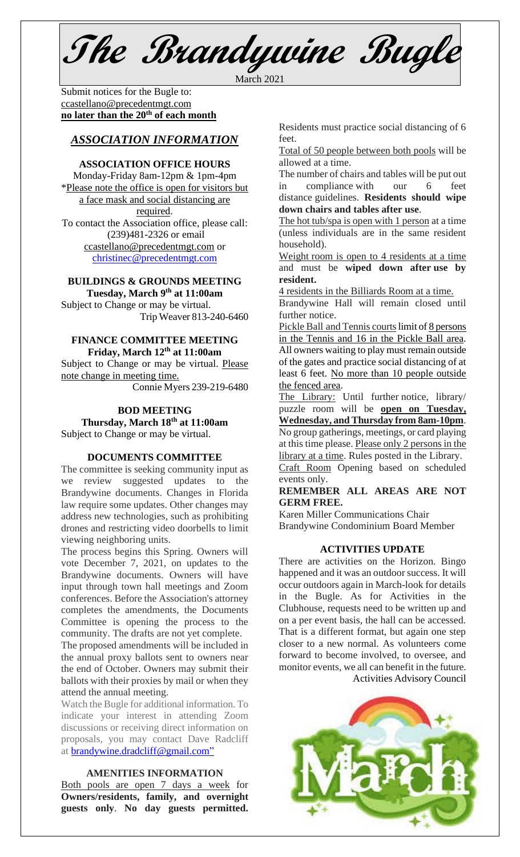**The Brandywine Bugle**

March 2021

Submit notices for the Bugle to: [ccastellano@precedentmgt.com](mailto:johnandbethgrooms@gmail.com) **no later than the 20th of each month**

# *ASSOCIATION INFORMATION*

## **ASSOCIATION OFFICE HOURS**

Monday-Friday 8am-12pm & 1pm-4pm \*Please note the office is open for visitors but a face mask and social distancing are required. To contact the Association office, please call: (239)481-2326 or email

[ccastellano@precedentmgt.com](mailto:ccastellano@precedentmgt.com) or [christinec@precedentmgt.com](mailto:christinec@precedentmgt.com)

## **BUILDINGS & GROUNDS MEETING Tuesday, March 9 th at 11:00am**

Subject to Change or may be virtual. Trip Weaver 813-240-6460

### **FINANCE COMMITTEE MEETING Friday, March 12 th at 11:00am**

Subject to Change or may be virtual. Please note change in meeting time.

Connie Myers 239-219-6480

## **BOD MEETING Thursday, March 18th at 11:00am** Subject to Change or may be virtual.

### **DOCUMENTS COMMITTEE**

The committee is seeking community input as we review suggested updates to the Brandywine documents. Changes in Florida law require some updates. Other changes may address new technologies, such as prohibiting drones and restricting video doorbells to limit viewing neighboring units.

The process begins this Spring. Owners will vote December 7, 2021, on updates to the Brandywine documents. Owners will have input through town hall meetings and Zoom conferences. Before the Association's attorney completes the amendments, the Documents Committee is opening the process to the community. The drafts are not yet complete.

The proposed amendments will be included in the annual proxy ballots sent to owners near the end of October. Owners may submit their ballots with their proxies by mail or when they attend the annual meeting.

Watch the Bugle for additional information. To indicate your interest in attending Zoom discussions or receiving direct information on proposals, you may contact Dave Radcliff at **[brandywine.dradcliff@gmail.com"](mailto:brandywine.dradcliff@gmail.com)** 

### **AMENITIES INFORMATION**

Both pools are open 7 days a week for **Owners/residents, family, and overnight guests only**. **No day guests permitted.** Residents must practice social distancing of 6 feet.

Total of 50 people between both pools will be allowed at a time.

The number of chairs and tables will be put out in compliance with our 6 feet distance guidelines. **Residents should wipe down chairs and tables after use**.

The hot tub/spa is open with 1 person at a time (unless individuals are in the same resident household).

Weight room is open to 4 residents at a time and must be **wiped down after use by resident.**

4 residents in the Billiards Room at a time.

Brandywine Hall will remain closed until further notice.

Pickle Ball and Tennis courts limit of 8 persons in the Tennis and 16 in the Pickle Ball area. All owners waiting to play must remain outside of the gates and practice social distancing of at least 6 feet. No more than 10 people outside the fenced area.

The Library: Until further notice, library/ puzzle room will be **open on Tuesday, Wednesday, and Thursday from 8am-10pm**. No group gatherings, meetings, or card playing at this time please. Please only 2 persons in the library at a time. Rules posted in the Library. Craft Room Opening based on scheduled

events only.

## **REMEMBER ALL AREAS ARE NOT GERM FREE.**

Karen Miller Communications Chair Brandywine Condominium Board Member

## **ACTIVITIES UPDATE**

There are activities on the Horizon. Bingo happened and it was an outdoor success. It will occur outdoors again in March-look for details in the Bugle. As for Activities in the Clubhouse, requests need to be written up and on a per event basis, the hall can be accessed. That is a different format, but again one step closer to a new normal. As volunteers come forward to become involved, to oversee, and monitor events, we all can benefit in the future. Activities Advisory Council

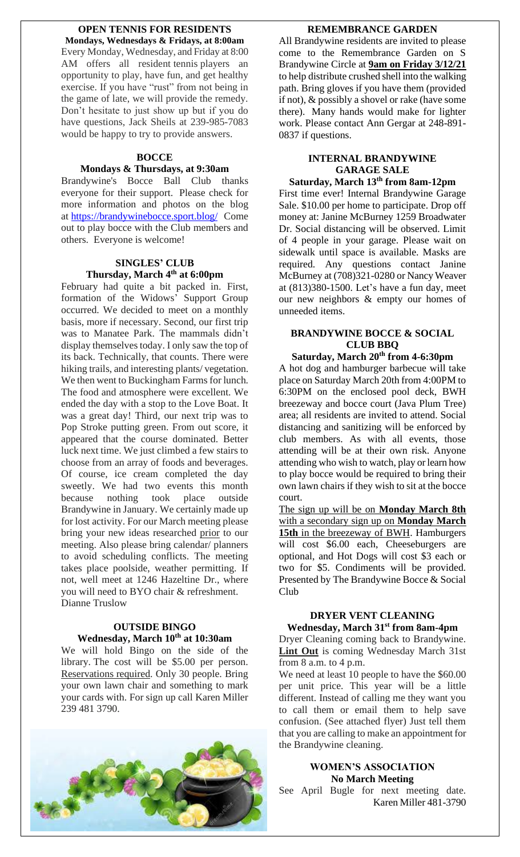### **OPEN TENNIS FOR RESIDENTS Mondays, Wednesdays & Fridays, at 8:00am**

Every Monday, Wednesday, and Friday at 8:00 AM offers all resident tennis players an opportunity to play, have fun, and get healthy exercise. If you have "rust" from not being in the game of late, we will provide the remedy. Don't hesitate to just show up but if you do have questions, Jack Sheils at 239-985-7083 would be happy to try to provide answers.

### **BOCCE**

## **Mondays & Thursdays, at 9:30am**

Brandywine's Bocce Ball Club thanks everyone for their support. Please check for more information and photos on the blog at <https://brandywinebocce.sport.blog/> Come out to play bocce with the Club members and others. Everyone is welcome!

# **SINGLES' CLUB Thursday, March 4 th at 6:00pm**

February had quite a bit packed in. First, formation of the Widows' Support Group occurred. We decided to meet on a monthly basis, more if necessary. Second, our first trip was to Manatee Park. The mammals didn't display themselves today. I only saw the top of its back. Technically, that counts. There were hiking trails, and interesting plants/ vegetation. We then went to Buckingham Farms for lunch. The food and atmosphere were excellent. We ended the day with a stop to the Love Boat. It was a great day! Third, our next trip was to Pop Stroke putting green. From out score, it appeared that the course dominated. Better luck next time. We just climbed a few stairs to choose from an array of foods and beverages. Of course, ice cream completed the day sweetly. We had two events this month<br>because nothing took place outside because nothing took place outside Brandywine in January. We certainly made up for lost activity. For our March meeting please bring your new ideas researched prior to our meeting. Also please bring calendar/ planners to avoid scheduling conflicts. The meeting takes place poolside, weather permitting. If not, well meet at 1246 Hazeltine Dr., where you will need to BYO chair & refreshment. Dianne Truslow

# **OUTSIDE BINGO Wednesday, March 10th at 10:30am**

We will hold Bingo on the side of the library. The cost will be \$5.00 per person. Reservations required. Only 30 people. Bring your own lawn chair and something to mark your cards with. For sign up call Karen Miller 239 481 3790.



### **REMEMBRANCE GARDEN**

All Brandywine residents are invited to please come to the Remembrance Garden on S Brandywine Circle at **9am on Friday 3/12/21** to help distribute crushed shell into the walking path. Bring gloves if you have them (provided if not), & possibly a shovel or rake (have some there). Many hands would make for lighter work. Please contact Ann Gergar at 248-891- 0837 if questions.

## **INTERNAL BRANDYWINE GARAGE SALE**

**Saturday, March 13th from 8am-12pm** First time ever! Internal Brandywine Garage Sale. \$10.00 per home to participate. Drop off money at: Janine McBurney 1259 Broadwater Dr. Social distancing will be observed. Limit of 4 people in your garage. Please wait on sidewalk until space is available. Masks are required. Any questions contact Janine McBurney at (708)321-0280 or Nancy Weaver at (813)380-1500. Let's have a fun day, meet our new neighbors & empty our homes of

# **BRANDYWINE BOCCE & SOCIAL CLUB BBQ**

unneeded items.

**Saturday, March 20th from 4-6:30pm** A hot dog and hamburger barbecue will take place on Saturday March 20th from 4:00PM to 6:30PM on the enclosed pool deck, BWH breezeway and bocce court (Java Plum Tree) area; all residents are invited to attend. Social distancing and sanitizing will be enforced by club members. As with all events, those attending will be at their own risk. Anyone attending who wish to watch, play or learn how to play bocce would be required to bring their own lawn chairs if they wish to sit at the bocce court.

The sign up will be on **Monday March 8th** with a secondary sign up on **Monday March**  15th in the breezeway of BWH. Hamburgers will cost \$6.00 each, Cheeseburgers are optional, and Hot Dogs will cost \$3 each or two for \$5. Condiments will be provided. Presented by The Brandywine Bocce & Social Club

## **DRYER VENT CLEANING Wednesday, March 31st from 8am-4pm**

Dryer Cleaning coming back to Brandywine. **Lint Out** is coming Wednesday March 31st from  $8$  a.m. to  $4$  p.m.

We need at least 10 people to have the \$60.00 per unit price. This year will be a little different. Instead of calling me they want you to call them or email them to help save confusion. (See attached flyer) Just tell them that you are calling to make an appointment for the Brandywine cleaning.

## **WOMEN'S ASSOCIATION No March Meeting**

See April Bugle for next meeting date.Karen Miller 481-3790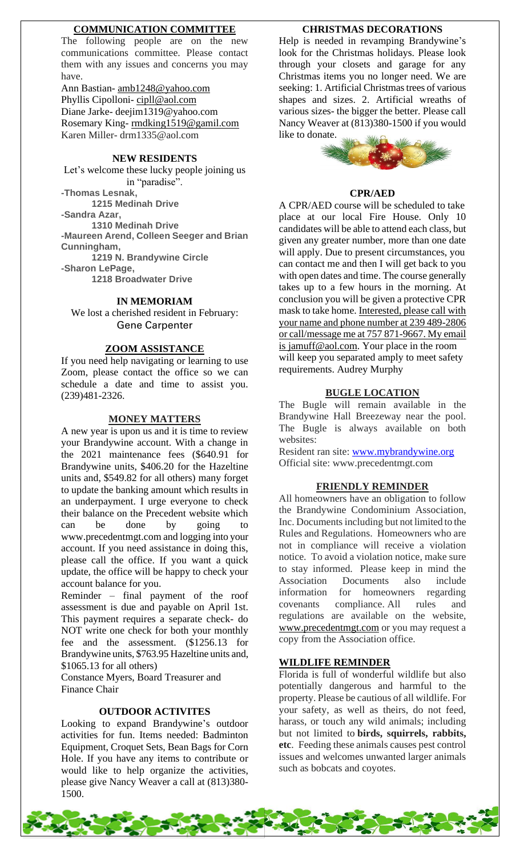### **COMMUNICATION COMMITTEE**

The following people are on the new communications committee. Please contact them with any issues and concerns you may have.

Ann Bastian- [amb1248@yahoo.com](mailto:amb1248@yahoo.com) Phyllis Cipolloni- [cipll@aol.com](mailto:cipll@aol.com) Diane Jarke- deejim1319@yahoo.com Rosemary King-[rmdking1519@gamil.com](mailto:rmdking1519@gamil.com) Karen Miller- drm1335@aol.com

# **NEW RESIDENTS**

Let's welcome these lucky people joining us in "paradise". **-Thomas Lesnak,**

**1215 Medinah Drive**

**-Sandra Azar,**

**1310 Medinah Drive**

**-Maureen Arend, Colleen Seeger and Brian Cunningham,**

**1219 N. Brandywine Circle**

**-Sharon LePage,**

**1218 Broadwater Drive**

## **IN MEMORIAM**

We lost a cherished resident in February: Gene Carpenter

### **ZOOM ASSISTANCE**

If you need help navigating or learning to use Zoom, please contact the office so we can schedule a date and time to assist you. (239)481-2326.

#### **MONEY MATTERS**

A new year is upon us and it is time to review your Brandywine account. With a change in the 2021 maintenance fees (\$640.91 for Brandywine units, \$406.20 for the Hazeltine units and, \$549.82 for all others) many forget to update the banking amount which results in an underpayment. I urge everyone to check their balance on the Precedent website which can be done by going www.precedentmgt.com and logging into your account. If you need assistance in doing this, please call the office. If you want a quick update, the office will be happy to check your account balance for you.

Reminder – final payment of the roof assessment is due and payable on April 1st. This payment requires a separate check- do NOT write one check for both your monthly fee and the assessment. (\$1256.13 for Brandywine units, \$763.95 Hazeltine units and, \$1065.13 for all others)

Constance Myers, Board Treasurer and Finance Chair

### **OUTDOOR ACTIVITES**

Looking to expand Brandywine's outdoor activities for fun. Items needed: Badminton Equipment, Croquet Sets, Bean Bags for Corn Hole. If you have any items to contribute or would like to help organize the activities, please give Nancy Weaver a call at (813)380- 1500.

#### **CHRISTMAS DECORATIONS**

Help is needed in revamping Brandywine's look for the Christmas holidays. Please look through your closets and garage for any Christmas items you no longer need. We are seeking: 1. Artificial Christmas trees of various shapes and sizes. 2. Artificial wreaths of various sizes- the bigger the better. Please call Nancy Weaver at (813)380-1500 if you would like to donate.



#### **CPR/AED**

A CPR/AED course will be scheduled to take place at our local Fire House. Only 10 candidates will be able to attend each class, but given any greater number, more than one date will apply. Due to present circumstances, you can contact me and then I will get back to you with open dates and time. The course generally takes up to a few hours in the morning. At conclusion you will be given a protective CPR mask to take home. Interested, please call with your name and phone number at 239 489-2806 or call/message me at 757 871-9667. My email is jamuff@aol.com. Your place in the room will keep you separated amply to meet safety requirements. Audrey Murphy

#### **BUGLE LOCATION**

The Bugle will remain available in the Brandywine Hall Breezeway near the pool. The Bugle is always available on both websites:

Resident ran site: [www.mybrandywine.org](http://www.mybrandywine.org/) Official site: www.precedentmgt.com

#### **FRIENDLY REMINDER**

All homeowners have an obligation to follow the Brandywine Condominium Association, Inc. Documents including but not limited to the Rules and Regulations. Homeowners who are not in compliance will receive a violation notice. To avoid a violation notice, make sure to stay informed. Please keep in mind the Association Documents also include information for homeowners regarding covenants compliance. All rules and regulations are available on the website, [www.precedentmgt.com](http://www.precedentmgt.com/) or you may request a copy from the Association office.

#### **WILDLIFE REMINDER**

Florida is full of wonderful wildlife but also potentially dangerous and harmful to the property. Please be cautious of all wildlife. For your safety, as well as theirs, do not feed, harass, or touch any wild animals; including but not limited to **birds, squirrels, rabbits, etc**. Feeding these animals causes pest control issues and welcomes unwanted larger animals such as bobcats and coyotes.